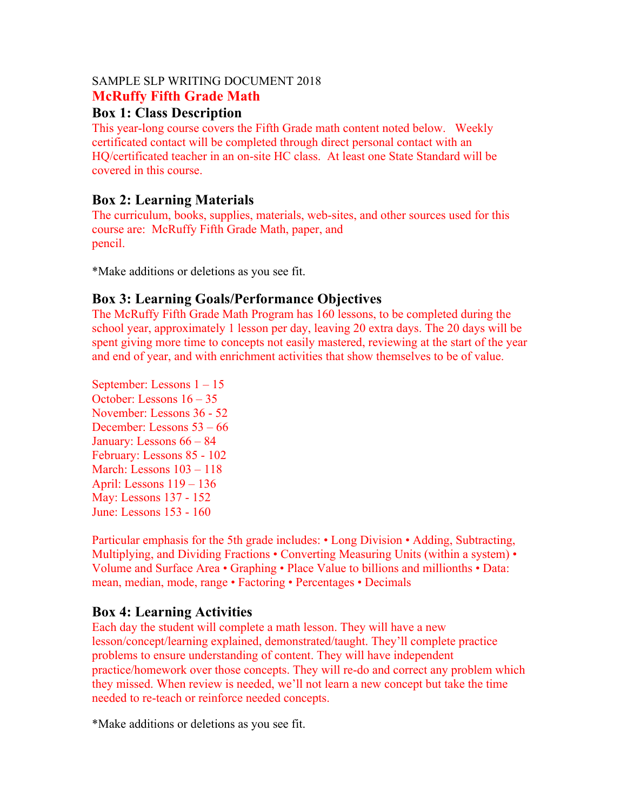#### SAMPLE SLP WRITING DOCUMENT 2018 **McRuffy Fifth Grade Math**

### **Box 1: Class Description**

This year-long course covers the Fifth Grade math content noted below. Weekly certificated contact will be completed through direct personal contact with an HQ/certificated teacher in an on-site HC class. At least one State Standard will be covered in this course.

## **Box 2: Learning Materials**

The curriculum, books, supplies, materials, web-sites, and other sources used for this course are: McRuffy Fifth Grade Math, paper, and pencil.

\*Make additions or deletions as you see fit.

# **Box 3: Learning Goals/Performance Objectives**

The McRuffy Fifth Grade Math Program has 160 lessons, to be completed during the school year, approximately 1 lesson per day, leaving 20 extra days. The 20 days will be spent giving more time to concepts not easily mastered, reviewing at the start of the year and end of year, and with enrichment activities that show themselves to be of value.

September: Lessons 1 – 15 October: Lessons 16 – 35 November: Lessons 36 - 52 December: Lessons 53 – 66 January: Lessons 66 – 84 February: Lessons 85 - 102 March: Lessons 103 – 118 April: Lessons 119 – 136 May: Lessons 137 - 152 June: Lessons 153 - 160

Particular emphasis for the 5th grade includes: • Long Division • Adding, Subtracting, Multiplying, and Dividing Fractions • Converting Measuring Units (within a system) • Volume and Surface Area • Graphing • Place Value to billions and millionths • Data: mean, median, mode, range • Factoring • Percentages • Decimals

### **Box 4: Learning Activities**

Each day the student will complete a math lesson. They will have a new lesson/concept/learning explained, demonstrated/taught. They'll complete practice problems to ensure understanding of content. They will have independent practice/homework over those concepts. They will re-do and correct any problem which they missed. When review is needed, we'll not learn a new concept but take the time needed to re-teach or reinforce needed concepts.

\*Make additions or deletions as you see fit.